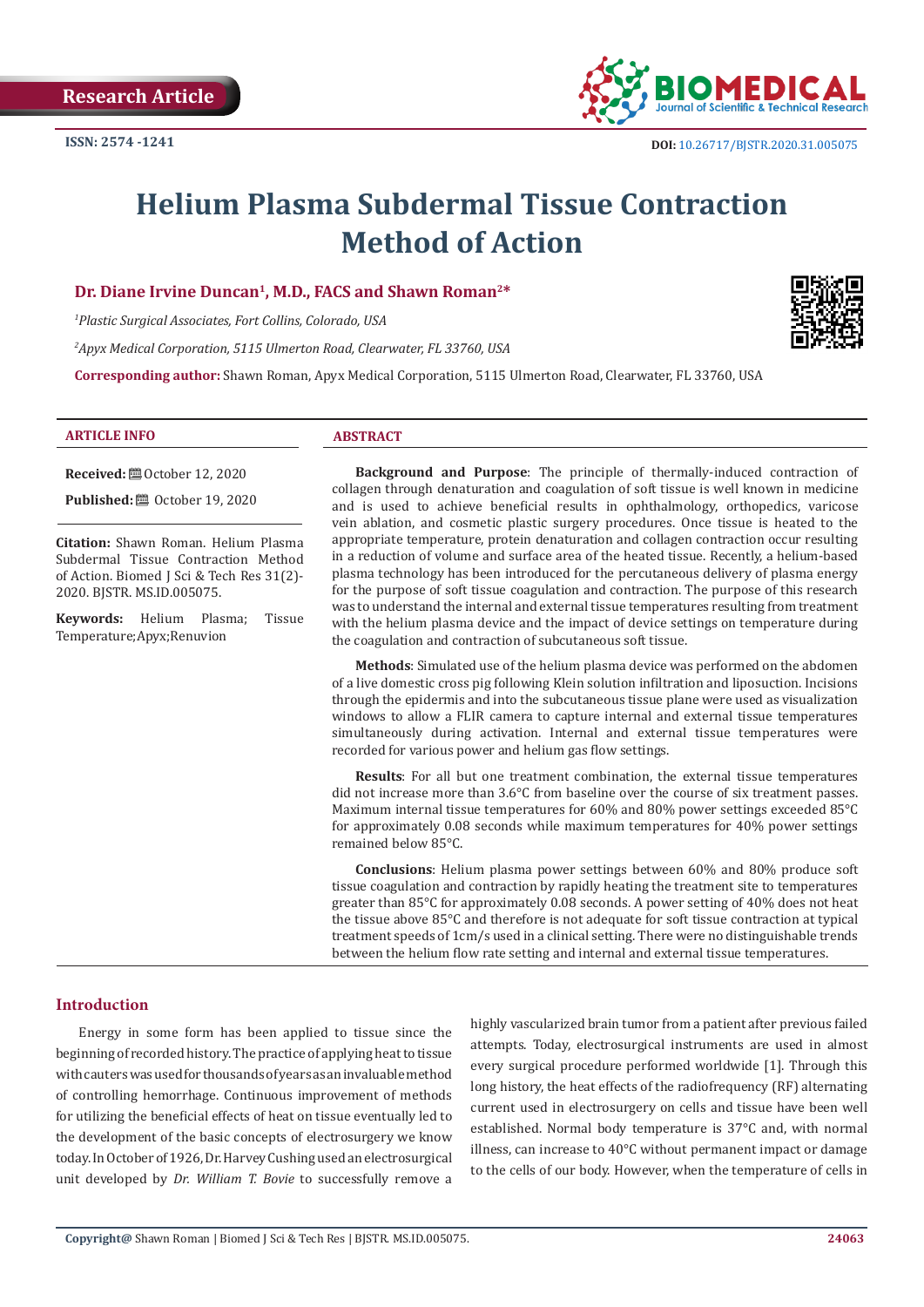

# **Helium Plasma Subdermal Tissue Contraction Method of Action**

## Dr. Diane Irvine Duncan<sup>1</sup>, M.D., FACS and Shawn Roman<sup>2\*</sup>

*1 Plastic Surgical Associates, Fort Collins, Colorado, USA*

*2 Apyx Medical Corporation, 5115 Ulmerton Road, Clearwater, FL 33760, USA*

**Corresponding author:** Shawn Roman, Apyx Medical Corporation, 5115 Ulmerton Road, Clearwater, FL 33760, USA



**Received:** ■ October 12, 2020

**Published: @** October 19, 2020

**Citation:** Shawn Roman. Helium Plasma Subdermal Tissue Contraction Method of Action. Biomed J Sci & Tech Res 31(2)- 2020. BJSTR. MS.ID.005075.

**Keywords:** Helium Plasma; Tissue Temperature;Apyx;Renuvion

**Background and Purpose**: The principle of thermally-induced contraction of collagen through denaturation and coagulation of soft tissue is well known in medicine and is used to achieve beneficial results in ophthalmology, orthopedics, varicose vein ablation, and cosmetic plastic surgery procedures. Once tissue is heated to the appropriate temperature, protein denaturation and collagen contraction occur resulting in a reduction of volume and surface area of the heated tissue. Recently, a helium-based plasma technology has been introduced for the percutaneous delivery of plasma energy for the purpose of soft tissue coagulation and contraction. The purpose of this research was to understand the internal and external tissue temperatures resulting from treatment with the helium plasma device and the impact of device settings on temperature during the coagulation and contraction of subcutaneous soft tissue.

**Methods**: Simulated use of the helium plasma device was performed on the abdomen of a live domestic cross pig following Klein solution infiltration and liposuction. Incisions through the epidermis and into the subcutaneous tissue plane were used as visualization windows to allow a FLIR camera to capture internal and external tissue temperatures simultaneously during activation. Internal and external tissue temperatures were recorded for various power and helium gas flow settings.

**Results**: For all but one treatment combination, the external tissue temperatures did not increase more than 3.6°C from baseline over the course of six treatment passes. Maximum internal tissue temperatures for 60% and 80% power settings exceeded 85°C for approximately 0.08 seconds while maximum temperatures for 40% power settings remained below 85°C.

**Conclusions**: Helium plasma power settings between 60% and 80% produce soft tissue coagulation and contraction by rapidly heating the treatment site to temperatures greater than 85°C for approximately 0.08 seconds. A power setting of 40% does not heat the tissue above 85°C and therefore is not adequate for soft tissue contraction at typical treatment speeds of 1cm/s used in a clinical setting. There were no distinguishable trends between the helium flow rate setting and internal and external tissue temperatures.

#### **Introduction**

Energy in some form has been applied to tissue since the beginning of recorded history. The practice of applying heat to tissue with cauters was used for thousands of years as an invaluable method of controlling hemorrhage. Continuous improvement of methods for utilizing the beneficial effects of heat on tissue eventually led to the development of the basic concepts of electrosurgery we know today. In October of 1926, Dr. Harvey Cushing used an electrosurgical unit developed by *Dr. William T. Bovie* to successfully remove a

highly vascularized brain tumor from a patient after previous failed attempts. Today, electrosurgical instruments are used in almost every surgical procedure performed worldwide [1]. Through this long history, the heat effects of the radiofrequency (RF) alternating current used in electrosurgery on cells and tissue have been well established. Normal body temperature is 37°C and, with normal illness, can increase to 40°C without permanent impact or damage to the cells of our body. However, when the temperature of cells in

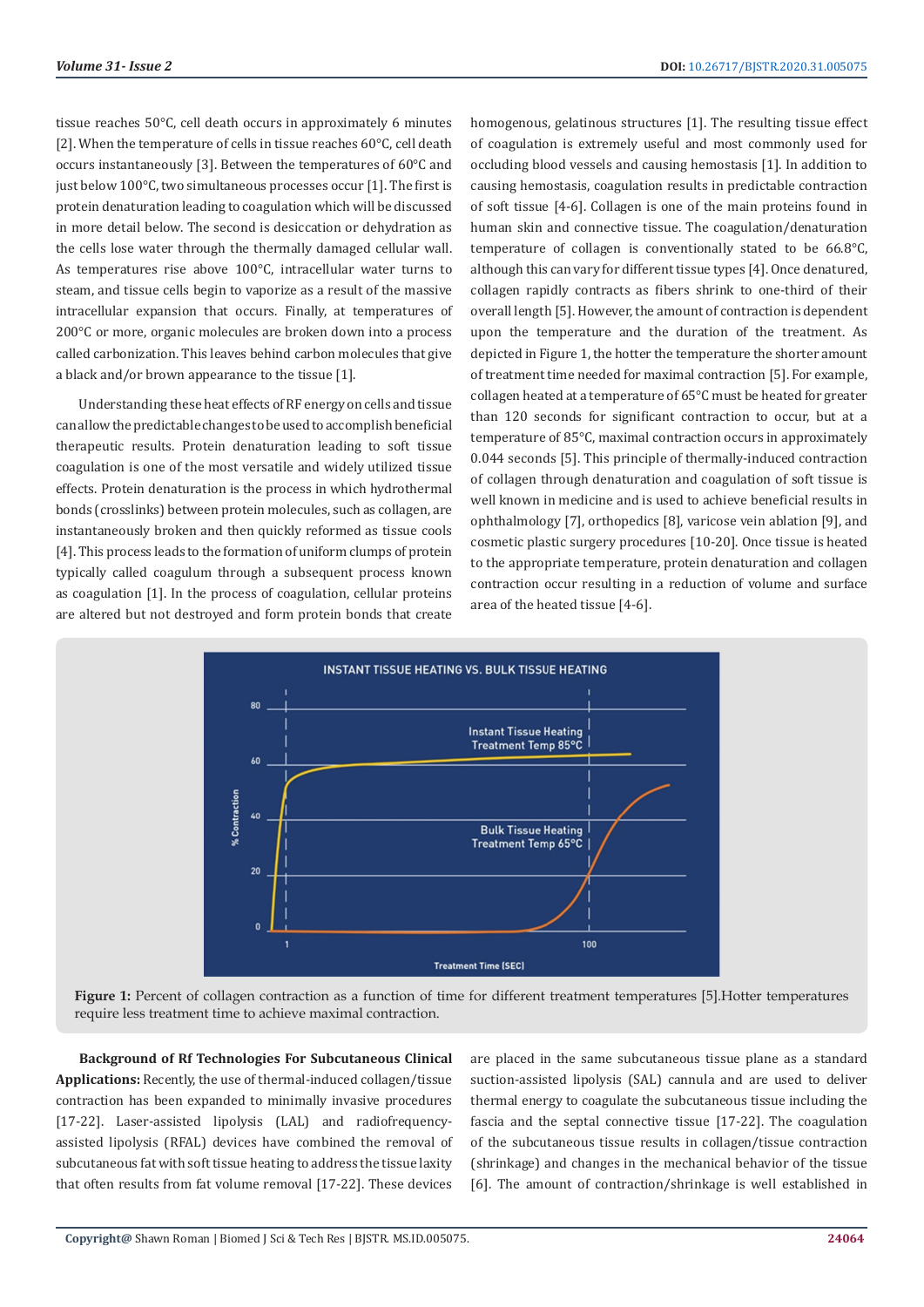tissue reaches 50°C, cell death occurs in approximately 6 minutes [2]. When the temperature of cells in tissue reaches 60°C, cell death occurs instantaneously [3]. Between the temperatures of 60°C and just below 100°C, two simultaneous processes occur [1]. The first is protein denaturation leading to coagulation which will be discussed in more detail below. The second is desiccation or dehydration as the cells lose water through the thermally damaged cellular wall. As temperatures rise above 100°C, intracellular water turns to steam, and tissue cells begin to vaporize as a result of the massive intracellular expansion that occurs. Finally, at temperatures of 200°C or more, organic molecules are broken down into a process called carbonization. This leaves behind carbon molecules that give a black and/or brown appearance to the tissue [1].

Understanding these heat effects of RF energy on cells and tissue can allow the predictable changes to be used to accomplish beneficial therapeutic results. Protein denaturation leading to soft tissue coagulation is one of the most versatile and widely utilized tissue effects. Protein denaturation is the process in which hydrothermal bonds (crosslinks) between protein molecules, such as collagen, are instantaneously broken and then quickly reformed as tissue cools [4]. This process leads to the formation of uniform clumps of protein typically called coagulum through a subsequent process known as coagulation [1]. In the process of coagulation, cellular proteins are altered but not destroyed and form protein bonds that create

homogenous, gelatinous structures [1]. The resulting tissue effect of coagulation is extremely useful and most commonly used for occluding blood vessels and causing hemostasis [1]. In addition to causing hemostasis, coagulation results in predictable contraction of soft tissue [4-6]. Collagen is one of the main proteins found in human skin and connective tissue. The coagulation/denaturation temperature of collagen is conventionally stated to be 66.8°C, although this can vary for different tissue types [4]. Once denatured, collagen rapidly contracts as fibers shrink to one-third of their overall length [5]. However, the amount of contraction is dependent upon the temperature and the duration of the treatment. As depicted in Figure 1, the hotter the temperature the shorter amount of treatment time needed for maximal contraction [5]. For example, collagen heated at a temperature of 65°C must be heated for greater than 120 seconds for significant contraction to occur, but at a temperature of 85°C, maximal contraction occurs in approximately 0.044 seconds [5]. This principle of thermally-induced contraction of collagen through denaturation and coagulation of soft tissue is well known in medicine and is used to achieve beneficial results in ophthalmology [7], orthopedics [8], varicose vein ablation [9], and cosmetic plastic surgery procedures [10-20]. Once tissue is heated to the appropriate temperature, protein denaturation and collagen contraction occur resulting in a reduction of volume and surface area of the heated tissue [4-6].



**Figure 1:** Percent of collagen contraction as a function of time for different treatment temperatures [5].Hotter temperatures require less treatment time to achieve maximal contraction.

**Background of Rf Technologies For Subcutaneous Clinical Applications:** Recently, the use of thermal-induced collagen/tissue contraction has been expanded to minimally invasive procedures [17-22]. Laser-assisted lipolysis (LAL) and radiofrequencyassisted lipolysis (RFAL) devices have combined the removal of subcutaneous fat with soft tissue heating to address the tissue laxity that often results from fat volume removal [17-22]. These devices

are placed in the same subcutaneous tissue plane as a standard suction-assisted lipolysis (SAL) cannula and are used to deliver thermal energy to coagulate the subcutaneous tissue including the fascia and the septal connective tissue [17-22]. The coagulation of the subcutaneous tissue results in collagen/tissue contraction (shrinkage) and changes in the mechanical behavior of the tissue [6]. The amount of contraction/shrinkage is well established in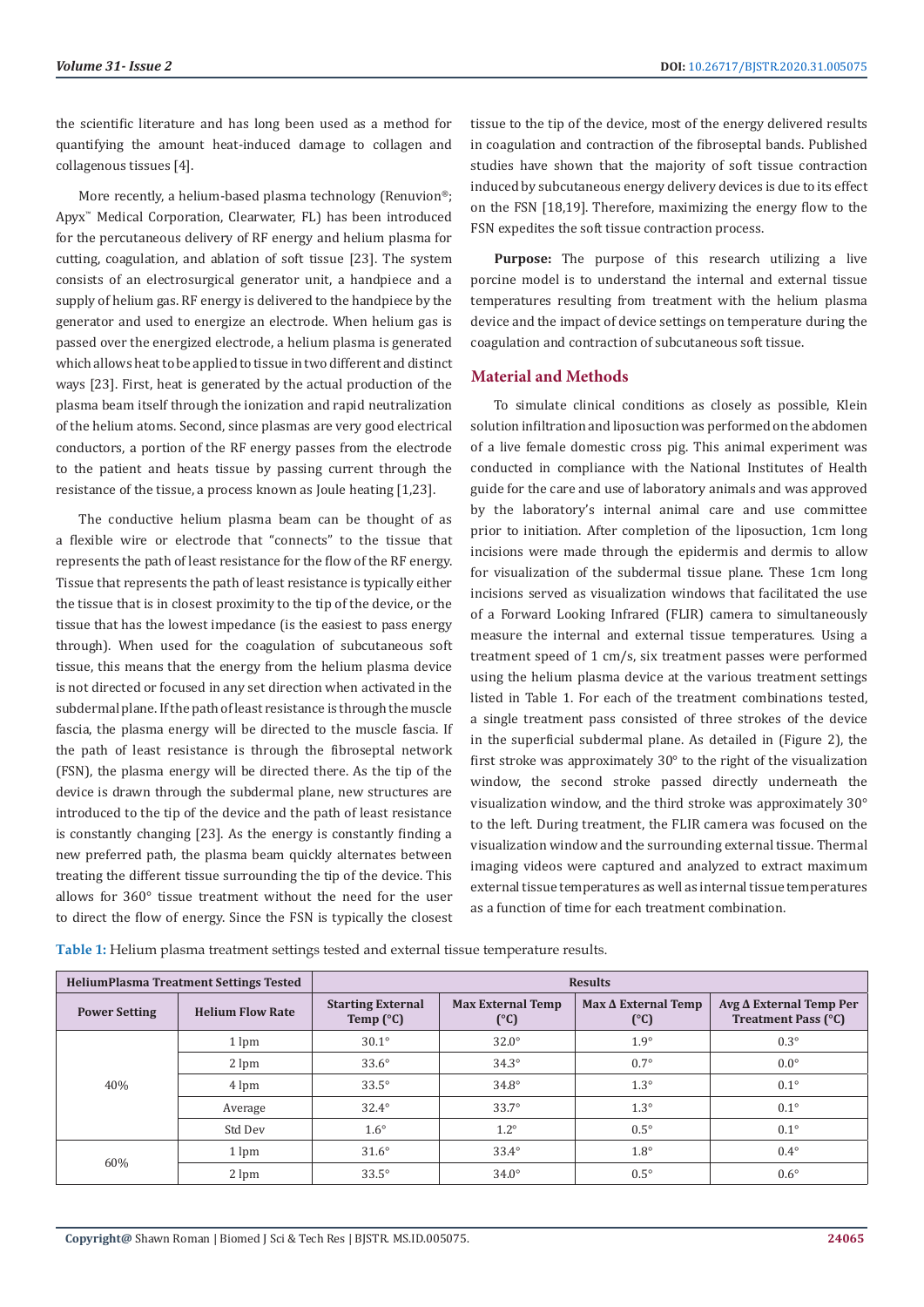the scientific literature and has long been used as a method for quantifying the amount heat-induced damage to collagen and collagenous tissues [4].

More recently, a helium-based plasma technology (Renuvion®; Apyx™ Medical Corporation, Clearwater, FL) has been introduced for the percutaneous delivery of RF energy and helium plasma for cutting, coagulation, and ablation of soft tissue [23]. The system consists of an electrosurgical generator unit, a handpiece and a supply of helium gas. RF energy is delivered to the handpiece by the generator and used to energize an electrode. When helium gas is passed over the energized electrode, a helium plasma is generated which allows heat to be applied to tissue in two different and distinct ways [23]. First, heat is generated by the actual production of the plasma beam itself through the ionization and rapid neutralization of the helium atoms. Second, since plasmas are very good electrical conductors, a portion of the RF energy passes from the electrode to the patient and heats tissue by passing current through the resistance of the tissue, a process known as Joule heating [1,23].

The conductive helium plasma beam can be thought of as a flexible wire or electrode that "connects" to the tissue that represents the path of least resistance for the flow of the RF energy. Tissue that represents the path of least resistance is typically either the tissue that is in closest proximity to the tip of the device, or the tissue that has the lowest impedance (is the easiest to pass energy through). When used for the coagulation of subcutaneous soft tissue, this means that the energy from the helium plasma device is not directed or focused in any set direction when activated in the subdermal plane. If the path of least resistance is through the muscle fascia, the plasma energy will be directed to the muscle fascia. If the path of least resistance is through the fibroseptal network (FSN), the plasma energy will be directed there. As the tip of the device is drawn through the subdermal plane, new structures are introduced to the tip of the device and the path of least resistance is constantly changing [23]. As the energy is constantly finding a new preferred path, the plasma beam quickly alternates between treating the different tissue surrounding the tip of the device. This allows for 360° tissue treatment without the need for the user to direct the flow of energy. Since the FSN is typically the closest

tissue to the tip of the device, most of the energy delivered results in coagulation and contraction of the fibroseptal bands. Published studies have shown that the majority of soft tissue contraction induced by subcutaneous energy delivery devices is due to its effect on the FSN [18,19]. Therefore, maximizing the energy flow to the FSN expedites the soft tissue contraction process.

Purpose: The purpose of this research utilizing a live porcine model is to understand the internal and external tissue temperatures resulting from treatment with the helium plasma device and the impact of device settings on temperature during the coagulation and contraction of subcutaneous soft tissue.

# **Material and Methods**

To simulate clinical conditions as closely as possible, Klein solution infiltration and liposuction was performed on the abdomen of a live female domestic cross pig. This animal experiment was conducted in compliance with the National Institutes of Health guide for the care and use of laboratory animals and was approved by the laboratory's internal animal care and use committee prior to initiation. After completion of the liposuction, 1cm long incisions were made through the epidermis and dermis to allow for visualization of the subdermal tissue plane. These 1cm long incisions served as visualization windows that facilitated the use of a Forward Looking Infrared (FLIR) camera to simultaneously measure the internal and external tissue temperatures. Using a treatment speed of 1 cm/s, six treatment passes were performed using the helium plasma device at the various treatment settings listed in Table 1. For each of the treatment combinations tested, a single treatment pass consisted of three strokes of the device in the superficial subdermal plane. As detailed in (Figure 2), the first stroke was approximately 30° to the right of the visualization window, the second stroke passed directly underneath the visualization window, and the third stroke was approximately 30° to the left. During treatment, the FLIR camera was focused on the visualization window and the surrounding external tissue. Thermal imaging videos were captured and analyzed to extract maximum external tissue temperatures as well as internal tissue temperatures as a function of time for each treatment combination.

| <b>HeliumPlasma Treatment Settings Tested</b> |                         | <b>Results</b>                                 |                                           |                                   |                                                       |  |
|-----------------------------------------------|-------------------------|------------------------------------------------|-------------------------------------------|-----------------------------------|-------------------------------------------------------|--|
| <b>Power Setting</b>                          | <b>Helium Flow Rate</b> | <b>Starting External</b><br>Temp $(^{\circ}C)$ | <b>Max External Temp</b><br>$(^{\circ}C)$ | $Max \Delta$ External Temp<br>(C) | $Avg \Delta$ External Temp Per<br>Treatment Pass (°C) |  |
| 40%                                           | 1 lpm                   | $30.1^\circ$                                   | $32.0^\circ$                              | $1.9^\circ$                       | $0.3^\circ$                                           |  |
|                                               | 2 lpm                   | $33.6^\circ$                                   | $34.3^\circ$                              | $0.7^\circ$                       | $0.0^\circ$                                           |  |
|                                               | 4 lpm                   | $33.5^\circ$                                   | $34.8^\circ$                              | $1.3^\circ$                       | $0.1^\circ$                                           |  |
|                                               | Average                 | $32.4^\circ$                                   | $33.7^\circ$                              | $1.3^\circ$                       | $0.1^\circ$                                           |  |
|                                               | Std Dev                 | $1.6^\circ$                                    | $1.2^\circ$                               | $0.5^\circ$                       | $0.1^\circ$                                           |  |
| 60%                                           | 1 lpm                   | $31.6^\circ$                                   | $33.4^\circ$                              | $1.8^\circ$                       | $0.4^\circ$                                           |  |
|                                               | 2 lpm                   | $33.5^\circ$                                   | $34.0^\circ$                              | $0.5^\circ$                       | $0.6^\circ$                                           |  |

**Table 1:** Helium plasma treatment settings tested and external tissue temperature results.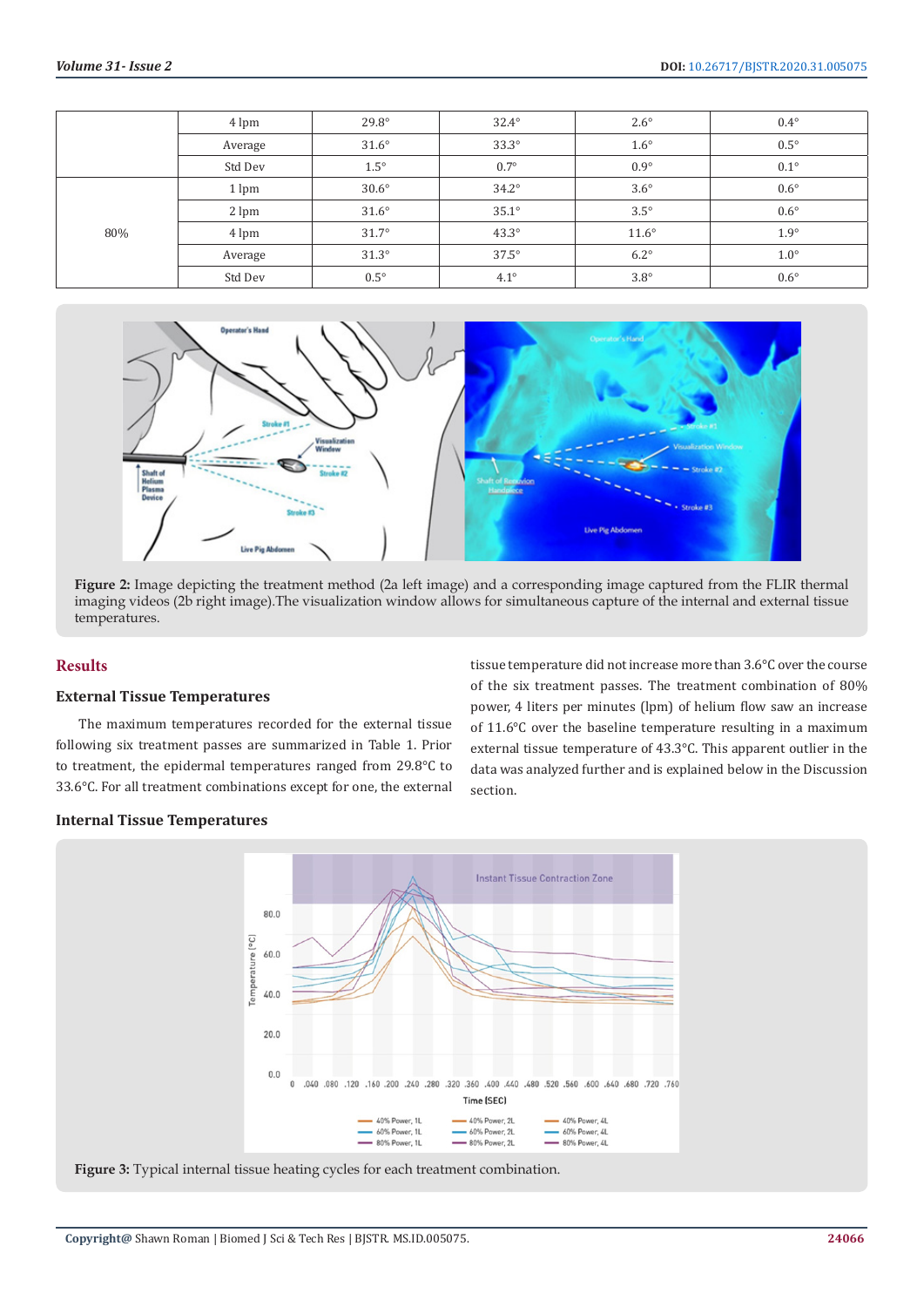|     | 4 lpm   | $29.8^\circ$ | $32.4^\circ$ | $2.6^\circ$  | $0.4^{\circ}$ |
|-----|---------|--------------|--------------|--------------|---------------|
|     | Average | $31.6^\circ$ | $33.3^\circ$ | $1.6^\circ$  | $0.5^\circ$   |
|     | Std Dev | $1.5^\circ$  | $0.7^\circ$  | $0.9^\circ$  | $0.1^\circ$   |
| 80% | 1 lpm   | $30.6^\circ$ | $34.2^\circ$ | $3.6^\circ$  | $0.6^\circ$   |
|     | 2 lpm   | $31.6^\circ$ | $35.1^\circ$ | $3.5^\circ$  | $0.6^\circ$   |
|     | 4 lpm   | $31.7^\circ$ | $43.3^\circ$ | $11.6^\circ$ | $1.9^\circ$   |
|     | Average | $31.3^\circ$ | $37.5^\circ$ | $6.2^\circ$  | $1.0^\circ$   |
|     | Std Dev | $0.5^\circ$  | $4.1^\circ$  | $3.8^\circ$  | $0.6^\circ$   |



**Figure 2:** Image depicting the treatment method (2a left image) and a corresponding image captured from the FLIR thermal imaging videos (2b right image).The visualization window allows for simultaneous capture of the internal and external tissue temperatures.

# **Results**

#### **External Tissue Temperatures**

The maximum temperatures recorded for the external tissue following six treatment passes are summarized in Table 1. Prior to treatment, the epidermal temperatures ranged from 29.8°C to 33.6°C. For all treatment combinations except for one, the external

tissue temperature did not increase more than 3.6°C over the course of the six treatment passes. The treatment combination of 80% power, 4 liters per minutes (lpm) of helium flow saw an increase of 11.6°C over the baseline temperature resulting in a maximum external tissue temperature of 43.3°C. This apparent outlier in the data was analyzed further and is explained below in the Discussion section.

### **Internal Tissue Temperatures**

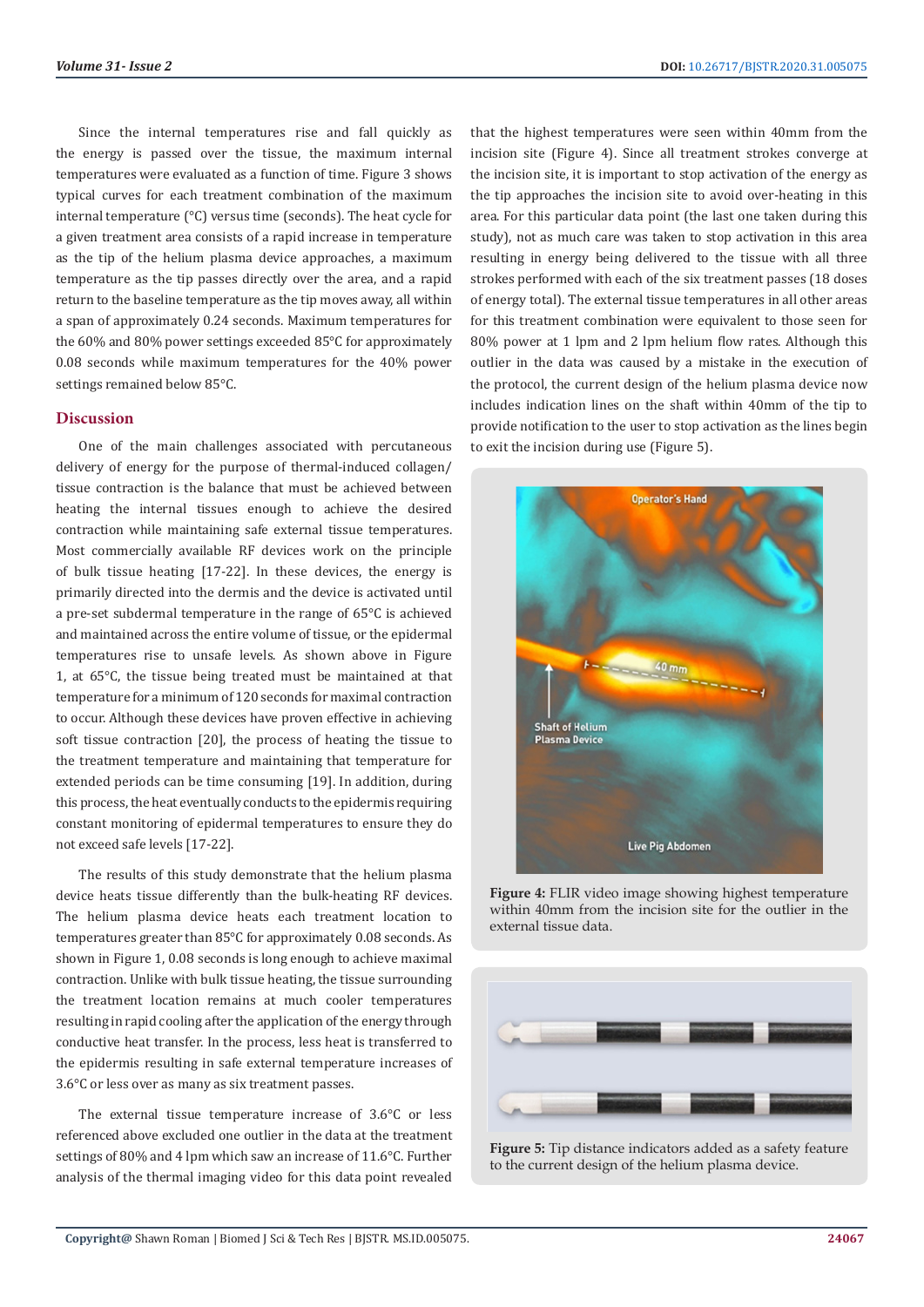Since the internal temperatures rise and fall quickly as the energy is passed over the tissue, the maximum internal temperatures were evaluated as a function of time. Figure 3 shows typical curves for each treatment combination of the maximum internal temperature (°C) versus time (seconds). The heat cycle for a given treatment area consists of a rapid increase in temperature as the tip of the helium plasma device approaches, a maximum temperature as the tip passes directly over the area, and a rapid return to the baseline temperature as the tip moves away, all within a span of approximately 0.24 seconds. Maximum temperatures for the 60% and 80% power settings exceeded 85°C for approximately 0.08 seconds while maximum temperatures for the 40% power settings remained below 85°C.

# **Discussion**

One of the main challenges associated with percutaneous delivery of energy for the purpose of thermal-induced collagen/ tissue contraction is the balance that must be achieved between heating the internal tissues enough to achieve the desired contraction while maintaining safe external tissue temperatures. Most commercially available RF devices work on the principle of bulk tissue heating [17-22]. In these devices, the energy is primarily directed into the dermis and the device is activated until a pre-set subdermal temperature in the range of 65°C is achieved and maintained across the entire volume of tissue, or the epidermal temperatures rise to unsafe levels. As shown above in Figure 1, at 65°C, the tissue being treated must be maintained at that temperature for a minimum of 120 seconds for maximal contraction to occur. Although these devices have proven effective in achieving soft tissue contraction [20], the process of heating the tissue to the treatment temperature and maintaining that temperature for extended periods can be time consuming [19]. In addition, during this process, the heat eventually conducts to the epidermis requiring constant monitoring of epidermal temperatures to ensure they do not exceed safe levels [17-22].

The results of this study demonstrate that the helium plasma device heats tissue differently than the bulk-heating RF devices. The helium plasma device heats each treatment location to temperatures greater than 85°C for approximately 0.08 seconds. As shown in Figure 1, 0.08 seconds is long enough to achieve maximal contraction. Unlike with bulk tissue heating, the tissue surrounding the treatment location remains at much cooler temperatures resulting in rapid cooling after the application of the energy through conductive heat transfer. In the process, less heat is transferred to the epidermis resulting in safe external temperature increases of 3.6°C or less over as many as six treatment passes.

The external tissue temperature increase of 3.6°C or less referenced above excluded one outlier in the data at the treatment settings of 80% and 4 lpm which saw an increase of 11.6°C. Further analysis of the thermal imaging video for this data point revealed

that the highest temperatures were seen within 40mm from the incision site (Figure 4). Since all treatment strokes converge at the incision site, it is important to stop activation of the energy as the tip approaches the incision site to avoid over-heating in this area. For this particular data point (the last one taken during this study), not as much care was taken to stop activation in this area resulting in energy being delivered to the tissue with all three strokes performed with each of the six treatment passes (18 doses of energy total). The external tissue temperatures in all other areas for this treatment combination were equivalent to those seen for 80% power at 1 lpm and 2 lpm helium flow rates. Although this outlier in the data was caused by a mistake in the execution of the protocol, the current design of the helium plasma device now includes indication lines on the shaft within 40mm of the tip to provide notification to the user to stop activation as the lines begin to exit the incision during use (Figure 5).



**Figure 4:** FLIR video image showing highest temperature within 40mm from the incision site for the outlier in the external tissue data.



**Figure 5:** Tip distance indicators added as a safety feature to the current design of the helium plasma device.